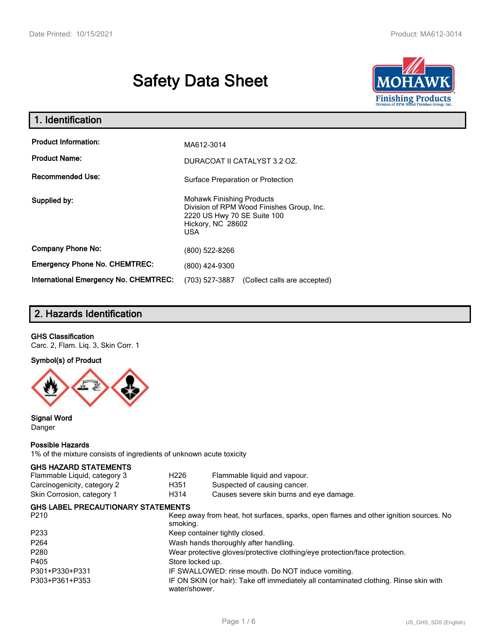# **Safety Data Sheet**



| 1. Identification                                   |                                                                                                                                                 |
|-----------------------------------------------------|-------------------------------------------------------------------------------------------------------------------------------------------------|
| <b>Product Information:</b><br><b>Product Name:</b> | MA612-3014<br>DURACOAT II CATALYST 3.2 OZ.                                                                                                      |
| <b>Recommended Use:</b>                             | Surface Preparation or Protection                                                                                                               |
| Supplied by:                                        | <b>Mohawk Finishing Products</b><br>Division of RPM Wood Finishes Group, Inc.<br>2220 US Hwy 70 SE Suite 100<br>Hickory, NC 28602<br><b>USA</b> |
| <b>Company Phone No:</b>                            | (800) 522-8266                                                                                                                                  |
| <b>Emergency Phone No. CHEMTREC:</b>                | (800) 424-9300                                                                                                                                  |
| <b>International Emergency No. CHEMTREC:</b>        | (703) 527-3887<br>(Collect calls are accepted)                                                                                                  |

## **2. Hazards Identification**

#### **GHS Classification**

Carc. 2, Flam. Liq. 3, Skin Corr. 1

#### **Symbol(s) of Product**



#### **Signal Word** Danger

#### **Possible Hazards**

1% of the mixture consists of ingredients of unknown acute toxicity

#### **GHS HAZARD STATEMENTS**

| <b>GHS LABEL PRECAUTIONARY STATEMENTS</b><br>הרכם |      | Keep away from boat, bot surfaces, sparks, open flames and other ignition sources. No |  |
|---------------------------------------------------|------|---------------------------------------------------------------------------------------|--|
| Skin Corrosion, category 1                        | H314 | Causes severe skin burns and eye damage.                                              |  |
| Carcinogenicity, category 2                       | H351 | Suspected of causing cancer.                                                          |  |
| Flammable Liquid, category 3                      | H226 | Flammable liquid and vapour.                                                          |  |

| Reep away from near, not surfaces, sparks, open names and other ignition sources. No                   |
|--------------------------------------------------------------------------------------------------------|
| smoking.                                                                                               |
| Keep container tightly closed.                                                                         |
| Wash hands thoroughly after handling.                                                                  |
| Wear protective gloves/protective clothing/eye protection/face protection.                             |
| Store locked up.                                                                                       |
| IF SWALLOWED: rinse mouth. Do NOT induce vomiting.                                                     |
| IF ON SKIN (or hair): Take off immediately all contaminated clothing. Rinse skin with<br>water/shower. |
|                                                                                                        |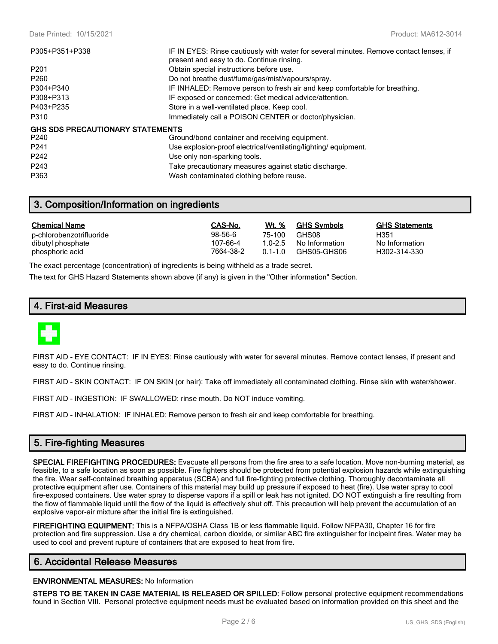| P305+P351+P338                          | IF IN EYES: Rinse cautiously with water for several minutes. Remove contact lenses, if<br>present and easy to do. Continue rinsing. |
|-----------------------------------------|-------------------------------------------------------------------------------------------------------------------------------------|
| P <sub>201</sub>                        | Obtain special instructions before use.                                                                                             |
| P <sub>260</sub>                        | Do not breathe dust/fume/gas/mist/vapours/spray.                                                                                    |
| P304+P340                               | IF INHALED: Remove person to fresh air and keep comfortable for breathing.                                                          |
| P308+P313                               | IF exposed or concerned: Get medical advice/attention.                                                                              |
| P403+P235                               | Store in a well-ventilated place. Keep cool.                                                                                        |
| P310                                    | Immediately call a POISON CENTER or doctor/physician.                                                                               |
| <b>GHS SDS PRECAUTIONARY STATEMENTS</b> |                                                                                                                                     |
| P240                                    | Ground/bond container and receiving equipment.                                                                                      |
| P <sub>241</sub>                        | Use explosion-proof electrical/ventilating/lighting/equipment.                                                                      |
| P242                                    | Use only non-sparking tools.                                                                                                        |
| P <sub>243</sub>                        | Take precautionary measures against static discharge.                                                                               |
| P363                                    | Wash contaminated clothing before reuse.                                                                                            |

## **3. Composition/Information on ingredients**

| <b>Chemical Name</b>     | CAS-No.   | <u>Wt. %</u> | <b>GHS Symbols</b> | <b>GHS Statements</b> |
|--------------------------|-----------|--------------|--------------------|-----------------------|
| p-chlorobenzotrifluoride | 98-56-6   | 75-100       | GHS08              | H351                  |
| dibutyl phosphate        | 107-66-4  | 1 0-2 5      | No Information     | No Information        |
| phosphoric acid          | 7664-38-2 | $01 - 10$    | GHS05-GHS06        | H302-314-330          |

The exact percentage (concentration) of ingredients is being withheld as a trade secret.

The text for GHS Hazard Statements shown above (if any) is given in the "Other information" Section.

## **4. First-aid Measures**



FIRST AID - EYE CONTACT: IF IN EYES: Rinse cautiously with water for several minutes. Remove contact lenses, if present and easy to do. Continue rinsing.

FIRST AID - SKIN CONTACT: IF ON SKIN (or hair): Take off immediately all contaminated clothing. Rinse skin with water/shower.

FIRST AID - INGESTION: IF SWALLOWED: rinse mouth. Do NOT induce vomiting.

FIRST AID - INHALATION: IF INHALED: Remove person to fresh air and keep comfortable for breathing.

## **5. Fire-fighting Measures**

**SPECIAL FIREFIGHTING PROCEDURES:** Evacuate all persons from the fire area to a safe location. Move non-burning material, as feasible, to a safe location as soon as possible. Fire fighters should be protected from potential explosion hazards while extinguishing the fire. Wear self-contained breathing apparatus (SCBA) and full fire-fighting protective clothing. Thoroughly decontaminate all protective equipment after use. Containers of this material may build up pressure if exposed to heat (fire). Use water spray to cool fire-exposed containers. Use water spray to disperse vapors if a spill or leak has not ignited. DO NOT extinguish a fire resulting from the flow of flammable liquid until the flow of the liquid is effectively shut off. This precaution will help prevent the accumulation of an explosive vapor-air mixture after the initial fire is extinguished.

**FIREFIGHTING EQUIPMENT:** This is a NFPA/OSHA Class 1B or less flammable liquid. Follow NFPA30, Chapter 16 for fire protection and fire suppression. Use a dry chemical, carbon dioxide, or similar ABC fire extinguisher for incipeint fires. Water may be used to cool and prevent rupture of containers that are exposed to heat from fire.

#### **6. Accidental Release Measures**

#### **ENVIRONMENTAL MEASURES:** No Information

**STEPS TO BE TAKEN IN CASE MATERIAL IS RELEASED OR SPILLED:** Follow personal protective equipment recommendations found in Section VIII. Personal protective equipment needs must be evaluated based on information provided on this sheet and the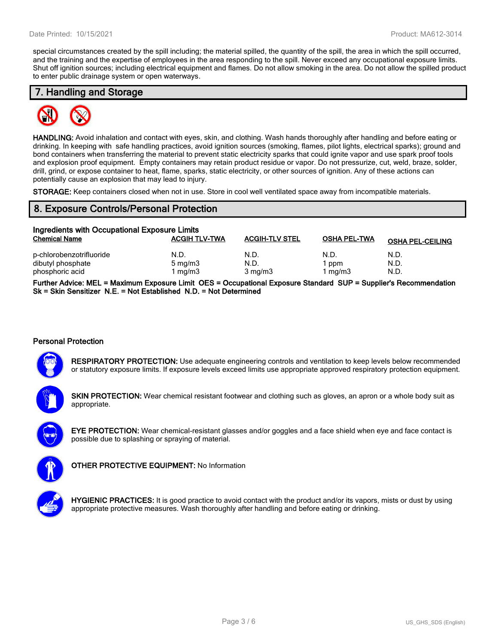special circumstances created by the spill including; the material spilled, the quantity of the spill, the area in which the spill occurred, and the training and the expertise of employees in the area responding to the spill. Never exceed any occupational exposure limits. Shut off ignition sources; including electrical equipment and flames. Do not allow smoking in the area. Do not allow the spilled product to enter public drainage system or open waterways.

### **7. Handling and Storage**



**HANDLING:** Avoid inhalation and contact with eyes, skin, and clothing. Wash hands thoroughly after handling and before eating or drinking. In keeping with safe handling practices, avoid ignition sources (smoking, flames, pilot lights, electrical sparks); ground and bond containers when transferring the material to prevent static electricity sparks that could ignite vapor and use spark proof tools and explosion proof equipment. Empty containers may retain product residue or vapor. Do not pressurize, cut, weld, braze, solder, drill, grind, or expose container to heat, flame, sparks, static electricity, or other sources of ignition. Any of these actions can potentially cause an explosion that may lead to injury.

**STORAGE:** Keep containers closed when not in use. Store in cool well ventilated space away from incompatible materials.

#### **8. Exposure Controls/Personal Protection**

| Ingredients with Occupational Exposure Limits                    |                                   |                                  |                        |                         |  |  |
|------------------------------------------------------------------|-----------------------------------|----------------------------------|------------------------|-------------------------|--|--|
| <b>Chemical Name</b>                                             | <b>ACGIH TLV-TWA</b>              | <b>ACGIH-TLV STEL</b>            | <b>OSHA PEL-TWA</b>    | <b>OSHA PEL-CEILING</b> |  |  |
| p-chlorobenzotrifluoride<br>dibutyl phosphate<br>phosphoric acid | N.D.<br>$5 \text{ mg/m}$<br>mg/m3 | N.D.<br>N.D.<br>$3 \text{ mg/m}$ | N.D.<br>ppm<br>1 mg/m3 | N.D.<br>N.D.<br>N.D.    |  |  |

**Further Advice: MEL = Maximum Exposure Limit OES = Occupational Exposure Standard SUP = Supplier's Recommendation Sk = Skin Sensitizer N.E. = Not Established N.D. = Not Determined**

#### **Personal Protection**



**RESPIRATORY PROTECTION:** Use adequate engineering controls and ventilation to keep levels below recommended or statutory exposure limits. If exposure levels exceed limits use appropriate approved respiratory protection equipment.

**SKIN PROTECTION:** Wear chemical resistant footwear and clothing such as gloves, an apron or a whole body suit as appropriate.



**EYE PROTECTION:** Wear chemical-resistant glasses and/or goggles and a face shield when eye and face contact is possible due to splashing or spraying of material.



**OTHER PROTECTIVE EQUIPMENT:** No Information



**HYGIENIC PRACTICES:** It is good practice to avoid contact with the product and/or its vapors, mists or dust by using appropriate protective measures. Wash thoroughly after handling and before eating or drinking.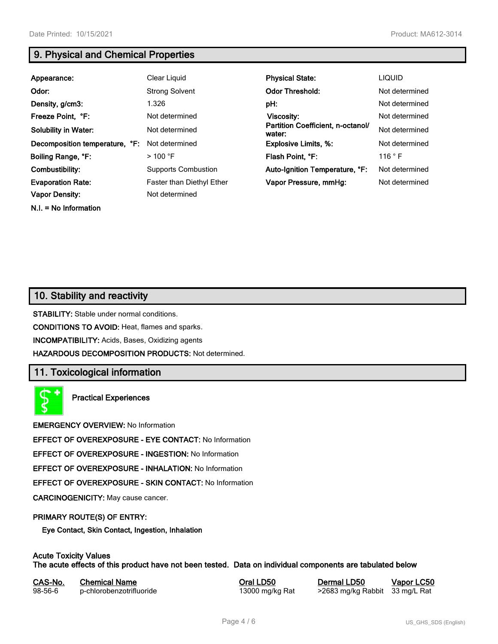**N.I. = No Information**

## **9. Physical and Chemical Properties**

| Appearance:                    | Clear Liquid                     | <b>Physical State:</b>                      | <b>LIQUID</b>  |
|--------------------------------|----------------------------------|---------------------------------------------|----------------|
| Odor:                          | <b>Strong Solvent</b>            | <b>Odor Threshold:</b>                      | Not determined |
| Density, g/cm3:                | 1.326                            | pH:                                         | Not determined |
| Freeze Point, °F:              | Not determined                   | Viscosity:                                  | Not determined |
| <b>Solubility in Water:</b>    | Not determined                   | Partition Coefficient, n-octanol/<br>water: | Not determined |
| Decomposition temperature, °F: | Not determined                   | <b>Explosive Limits, %:</b>                 | Not determined |
| Boiling Range, °F:             | $>$ 100 °F                       | Flash Point. °F:                            | 116 °F         |
| Combustibility:                | <b>Supports Combustion</b>       | Auto-Ignition Temperature, °F:              | Not determined |
| <b>Evaporation Rate:</b>       | <b>Faster than Diethyl Ether</b> | Vapor Pressure, mmHg:                       | Not determined |
| <b>Vapor Density:</b>          | Not determined                   |                                             |                |

## **10. Stability and reactivity**

**STABILITY:** Stable under normal conditions.

**CONDITIONS TO AVOID:** Heat, flames and sparks.

**INCOMPATIBILITY:** Acids, Bases, Oxidizing agents

**HAZARDOUS DECOMPOSITION PRODUCTS:** Not determined.

## **11. Toxicological information**

**Practical Experiences**

**EMERGENCY OVERVIEW:** No Information

**EFFECT OF OVEREXPOSURE - EYE CONTACT:** No Information

**EFFECT OF OVEREXPOSURE - INGESTION:** No Information

**EFFECT OF OVEREXPOSURE - INHALATION:** No Information

**EFFECT OF OVEREXPOSURE - SKIN CONTACT:** No Information

**CARCINOGENICITY:** May cause cancer.

#### **PRIMARY ROUTE(S) OF ENTRY:**

**Eye Contact, Skin Contact, Ingestion, Inhalation**

### **Acute Toxicity Values**

**The acute effects of this product have not been tested. Data on individual components are tabulated below**

| CAS-No.       | <b>Chemical Name</b>     |
|---------------|--------------------------|
| $98 - 56 - 6$ | p-chlorobenzotrifluoride |

**Casa-No. 25 Co. 25 Co. 25 Co. 25 Co. 25 Co. 25 Co. 25 Co. 25 Co. 25 Co. 25 Co. 25 Co. 25 Co. 25 Co. 25 Co. 25 Co. 25 Co. 25 Co. 25 Co. 25 Co. 25 Co. 25 Co. 25 Co. 25 Co. 25 Co. 25 Co. 25 Co. 25 Co. 25 Co. 25 Co. 25 Co. 25** 13000 mg/kg Rat >2683 mg/kg Rabbit 33 mg/L Rat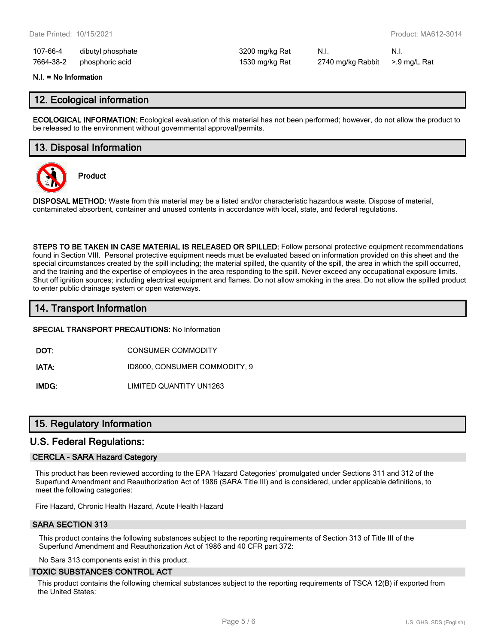| 107-66-4  | dibutyl phosphate | 3200 mg/kg Rat | N.I.                           | - N.I. |
|-----------|-------------------|----------------|--------------------------------|--------|
| 7664-38-2 | phosphoric acid   | 1530 mg/kg Rat | 2740 mg/kg Rabbit >.9 mg/L Rat |        |

#### **N.I. = No Information**

#### **12. Ecological information**

**ECOLOGICAL INFORMATION:** Ecological evaluation of this material has not been performed; however, do not allow the product to be released to the environment without governmental approval/permits.

#### **13. Disposal Information**



**Product**

**DISPOSAL METHOD:** Waste from this material may be a listed and/or characteristic hazardous waste. Dispose of material, contaminated absorbent, container and unused contents in accordance with local, state, and federal regulations.

**STEPS TO BE TAKEN IN CASE MATERIAL IS RELEASED OR SPILLED:** Follow personal protective equipment recommendations found in Section VIII. Personal protective equipment needs must be evaluated based on information provided on this sheet and the special circumstances created by the spill including; the material spilled, the quantity of the spill, the area in which the spill occurred, and the training and the expertise of employees in the area responding to the spill. Never exceed any occupational exposure limits. Shut off ignition sources; including electrical equipment and flames. Do not allow smoking in the area. Do not allow the spilled product to enter public drainage system or open waterways.

## **14. Transport Information**

**SPECIAL TRANSPORT PRECAUTIONS:** No Information

**DOT:** CONSUMER COMMODITY

**IATA:** ID8000, CONSUMER COMMODITY, 9

**IMDG:** LIMITED QUANTITY UN1263

## **15. Regulatory Information**

#### **U.S. Federal Regulations:**

#### **CERCLA - SARA Hazard Category**

This product has been reviewed according to the EPA 'Hazard Categories' promulgated under Sections 311 and 312 of the Superfund Amendment and Reauthorization Act of 1986 (SARA Title III) and is considered, under applicable definitions, to meet the following categories:

Fire Hazard, Chronic Health Hazard, Acute Health Hazard

#### **SARA SECTION 313**

This product contains the following substances subject to the reporting requirements of Section 313 of Title III of the Superfund Amendment and Reauthorization Act of 1986 and 40 CFR part 372:

No Sara 313 components exist in this product.

#### **TOXIC SUBSTANCES CONTROL ACT**

This product contains the following chemical substances subject to the reporting requirements of TSCA 12(B) if exported from the United States: